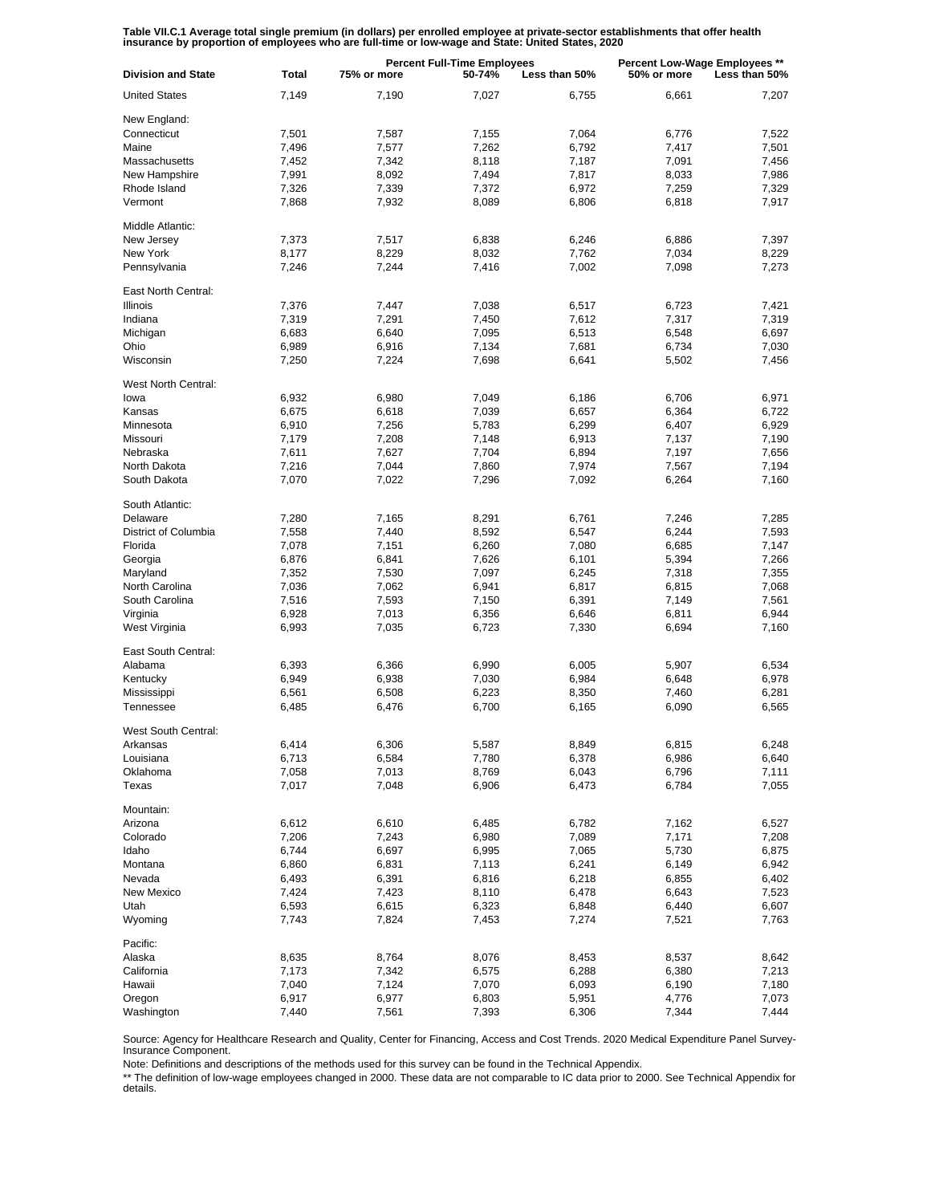Table VII.C.1 Average total single premium (in dollars) per enrolled employee at private-sector establishments that offer health<br>insurance by proportion of employees who are full-time or low-wage and State: United States,

| <b>Division and State</b> | <b>Total</b> | <b>Percent Full-Time Employees</b><br>75% or more<br>50-74%<br>Less than 50% |       |       | Percent Low-Wage Employees **<br>50% or more<br>Less than 50% |       |  |
|---------------------------|--------------|------------------------------------------------------------------------------|-------|-------|---------------------------------------------------------------|-------|--|
| <b>United States</b>      | 7,149        | 7,190                                                                        | 7,027 | 6,755 | 6.661                                                         | 7,207 |  |
| New England:              |              |                                                                              |       |       |                                                               |       |  |
| Connecticut               | 7,501        | 7,587                                                                        | 7,155 | 7,064 | 6,776                                                         | 7,522 |  |
| Maine                     | 7,496        | 7,577                                                                        | 7,262 | 6,792 | 7,417                                                         | 7,501 |  |
| Massachusetts             | 7,452        | 7,342                                                                        | 8,118 | 7,187 | 7,091                                                         | 7,456 |  |
|                           |              |                                                                              |       |       |                                                               |       |  |
| New Hampshire             | 7,991        | 8,092                                                                        | 7,494 | 7,817 | 8,033                                                         | 7,986 |  |
| Rhode Island              | 7,326        | 7,339                                                                        | 7,372 | 6,972 | 7,259                                                         | 7,329 |  |
| Vermont                   | 7,868        | 7,932                                                                        | 8,089 | 6,806 | 6,818                                                         | 7,917 |  |
| Middle Atlantic:          |              |                                                                              |       |       |                                                               |       |  |
| New Jersey                | 7,373        | 7,517                                                                        | 6,838 | 6,246 | 6,886                                                         | 7,397 |  |
| New York                  | 8,177        | 8,229                                                                        | 8,032 | 7,762 | 7,034                                                         | 8,229 |  |
| Pennsylvania              | 7,246        | 7,244                                                                        | 7,416 | 7,002 | 7,098                                                         | 7,273 |  |
| East North Central:       |              |                                                                              |       |       |                                                               |       |  |
| <b>Illinois</b>           | 7,376        | 7,447                                                                        | 7,038 | 6,517 | 6,723                                                         | 7,421 |  |
| Indiana                   | 7,319        | 7,291                                                                        | 7,450 | 7,612 | 7,317                                                         | 7,319 |  |
| Michigan                  | 6,683        | 6,640                                                                        | 7,095 | 6,513 | 6,548                                                         | 6,697 |  |
| Ohio                      | 6,989        | 6,916                                                                        | 7,134 | 7,681 | 6,734                                                         | 7,030 |  |
| Wisconsin                 | 7,250        | 7,224                                                                        | 7,698 | 6,641 | 5,502                                                         | 7,456 |  |
| West North Central:       |              |                                                                              |       |       |                                                               |       |  |
| lowa                      | 6,932        | 6,980                                                                        | 7,049 |       | 6,706                                                         | 6,971 |  |
|                           |              |                                                                              |       | 6,186 |                                                               |       |  |
| Kansas                    | 6,675        | 6,618                                                                        | 7,039 | 6,657 | 6,364                                                         | 6,722 |  |
| Minnesota                 | 6,910        | 7,256                                                                        | 5,783 | 6,299 | 6,407                                                         | 6,929 |  |
| Missouri                  | 7,179        | 7,208                                                                        | 7,148 | 6,913 | 7,137                                                         | 7,190 |  |
| Nebraska                  | 7,611        | 7,627                                                                        | 7,704 | 6,894 | 7,197                                                         | 7,656 |  |
| North Dakota              | 7,216        | 7,044                                                                        | 7,860 | 7,974 | 7,567                                                         | 7,194 |  |
| South Dakota              | 7,070        | 7,022                                                                        | 7,296 | 7,092 | 6,264                                                         | 7,160 |  |
| South Atlantic:           |              |                                                                              |       |       |                                                               |       |  |
| Delaware                  | 7,280        | 7,165                                                                        | 8,291 | 6,761 | 7,246                                                         | 7,285 |  |
| District of Columbia      | 7,558        | 7,440                                                                        | 8,592 | 6,547 | 6,244                                                         | 7,593 |  |
| Florida                   | 7,078        | 7,151                                                                        | 6,260 | 7,080 | 6,685                                                         | 7,147 |  |
| Georgia                   | 6,876        | 6,841                                                                        | 7,626 | 6,101 | 5,394                                                         | 7,266 |  |
| Maryland                  | 7,352        | 7,530                                                                        | 7,097 | 6,245 | 7,318                                                         | 7,355 |  |
| North Carolina            | 7,036        | 7,062                                                                        | 6,941 | 6,817 | 6,815                                                         | 7,068 |  |
| South Carolina            | 7,516        | 7,593                                                                        | 7,150 | 6,391 | 7,149                                                         | 7,561 |  |
| Virginia                  | 6,928        | 7,013                                                                        | 6,356 | 6,646 | 6,811                                                         | 6,944 |  |
| West Virginia             | 6,993        | 7,035                                                                        | 6,723 | 7,330 | 6,694                                                         | 7,160 |  |
|                           |              |                                                                              |       |       |                                                               |       |  |
| East South Central:       |              |                                                                              |       |       |                                                               |       |  |
| Alabama                   | 6,393        | 6,366                                                                        | 6,990 | 6,005 | 5,907                                                         | 6,534 |  |
| Kentucky                  | 6,949        | 6,938                                                                        | 7,030 | 6,984 | 6,648                                                         | 6,978 |  |
| Mississippi               | 6,561        | 6,508                                                                        | 6,223 | 8,350 | 7,460                                                         | 6,281 |  |
| Tennessee                 | 6,485        | 6,476                                                                        | 6,700 | 6,165 | 6,090                                                         | 6,565 |  |
| West South Central:       |              |                                                                              |       |       |                                                               |       |  |
| Arkansas                  | 6,414        | 6,306                                                                        | 5,587 | 8,849 | 6,815                                                         | 6,248 |  |
| Louisiana                 | 6,713        | 6,584                                                                        | 7,780 | 6,378 | 6,986                                                         | 6,640 |  |
| Oklahoma                  | 7,058        | 7,013                                                                        | 8,769 | 6,043 | 6,796                                                         | 7,111 |  |
| Texas                     | 7,017        | 7,048                                                                        | 6,906 | 6,473 | 6,784                                                         | 7,055 |  |
|                           |              |                                                                              |       |       |                                                               |       |  |
| Mountain:                 |              |                                                                              |       |       |                                                               |       |  |
| Arizona                   | 6,612        | 6,610                                                                        | 6,485 | 6,782 | 7,162                                                         | 6,527 |  |
| Colorado                  | 7,206        | 7,243                                                                        | 6,980 | 7,089 | 7,171                                                         | 7,208 |  |
| Idaho                     | 6,744        | 6,697                                                                        | 6,995 | 7,065 | 5,730                                                         | 6,875 |  |
| Montana                   | 6,860        | 6,831                                                                        | 7,113 | 6,241 | 6,149                                                         | 6,942 |  |
| Nevada                    | 6,493        | 6,391                                                                        | 6,816 | 6,218 | 6,855                                                         | 6,402 |  |
| New Mexico                | 7,424        | 7,423                                                                        | 8,110 | 6,478 | 6,643                                                         | 7,523 |  |
| Utah                      | 6,593        | 6,615                                                                        | 6,323 | 6,848 | 6,440                                                         | 6,607 |  |
| Wyoming                   | 7,743        | 7,824                                                                        | 7,453 | 7,274 | 7,521                                                         | 7,763 |  |
| Pacific:                  |              |                                                                              |       |       |                                                               |       |  |
| Alaska                    | 8,635        | 8,764                                                                        | 8,076 | 8,453 | 8,537                                                         | 8,642 |  |
| California                | 7,173        | 7,342                                                                        | 6,575 | 6,288 | 6,380                                                         | 7,213 |  |
| Hawaii                    | 7,040        | 7,124                                                                        | 7,070 | 6,093 | 6,190                                                         | 7,180 |  |
| Oregon                    | 6,917        | 6,977                                                                        | 6,803 | 5,951 | 4,776                                                         | 7,073 |  |
| Washington                | 7,440        |                                                                              |       |       | 7,344                                                         | 7,444 |  |
|                           |              | 7,561                                                                        | 7,393 | 6,306 |                                                               |       |  |

Source: Agency for Healthcare Research and Quality, Center for Financing, Access and Cost Trends. 2020 Medical Expenditure Panel Survey-Insurance Component.

Note: Definitions and descriptions of the methods used for this survey can be found in the Technical Appendix.

\*\* The definition of low-wage employees changed in 2000. These data are not comparable to IC data prior to 2000. See Technical Appendix for details.